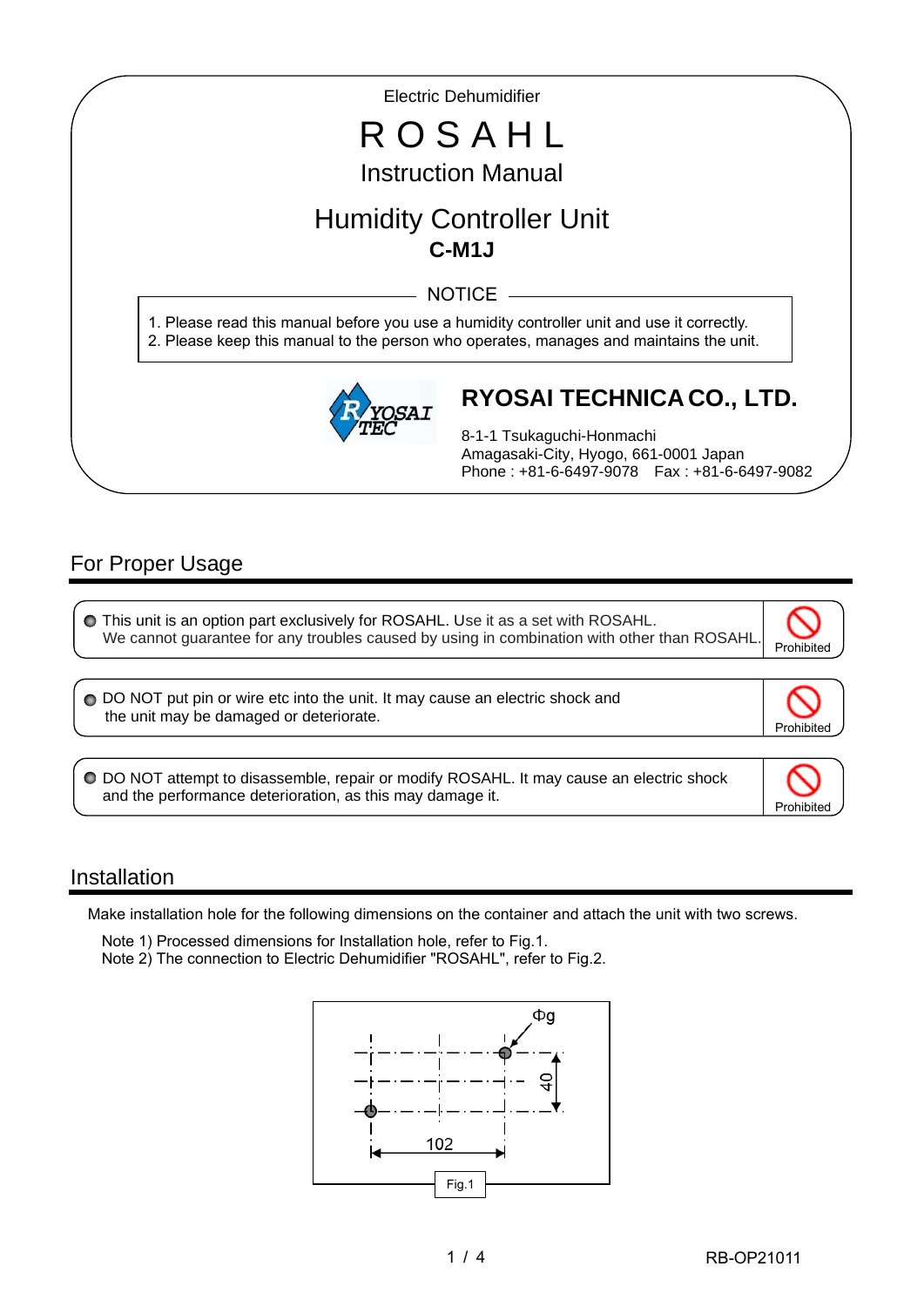Electric Dehumidifier

# R O S A H L Instruction Manual

## Humidity Controller Unit **C-M1J**

NOTICE -

1. Please read this manual before you use a humidity controller unit and use it correctly. 2. Please keep this manual to the person who operates, manages and maintains the unit.



### **RYOSAI TECHNICA CO., LTD.**

8-1-1 Tsukaguchi-Honmachi Amagasaki-City, Hyogo, 661-0001 Japan Phone : +81-6-6497-9078 Fax : +81-6-6497-9082

### For Proper Usage

I

I

| O This unit is an option part exclusively for ROSAHL. Use it as a set with ROSAHL.          | $\overline{\circ}$ |
|---------------------------------------------------------------------------------------------|--------------------|
| We cannot guarantee for any troubles caused by using in combination with other than ROSAHL. | Prohibited         |

O DO NOT put pin or wire etc into the unit. It may cause an electric shock and the unit may be damaged or deteriorate.



Prohibited

DO NOT attempt to disassemble, repair or modify ROSAHL. It may cause an electric shock and the performance deterioration, as this may damage it.

#### Installation

Ξ

Make installation hole for the following dimensions on the container and attach the unit with two screws.

 Note 1) Processed dimensions for Installation hole, refer to Fig.1. Note 2) The connection to Electric Dehumidifier "ROSAHL", refer to Fig.2.

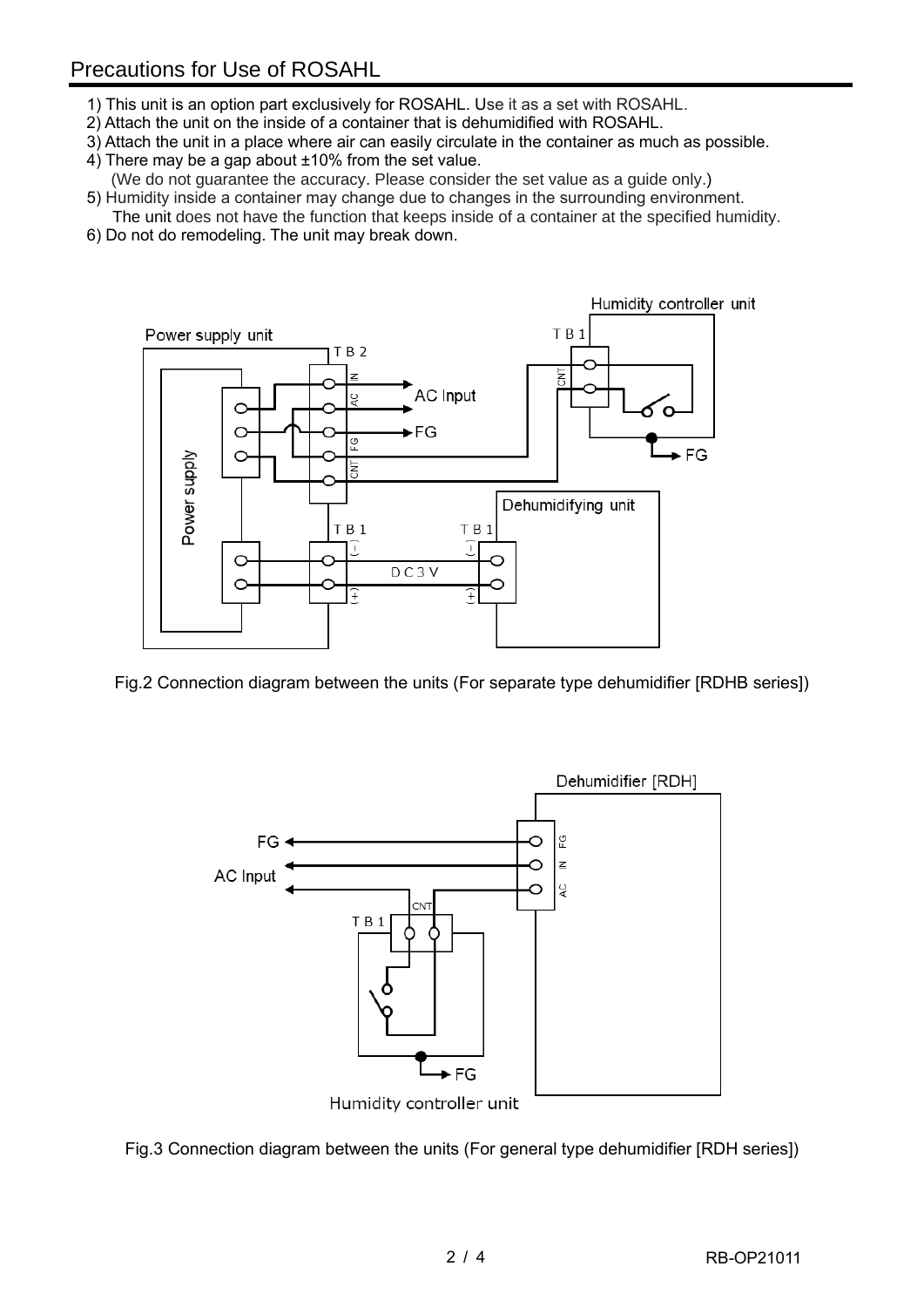- 1) This unit is an option part exclusively for ROSAHL. Use it as a set with ROSAHL.
- 2) Attach the unit on the inside of a container that is dehumidified with ROSAHL.
- 3) Attach the unit in a place where air can easily circulate in the container as much as possible.
- 4) There may be a gap about ±10% from the set value. (We do not guarantee the accuracy. Please consider the set value as a guide only.)
- 5) Humidity inside a container may change due to changes in the surrounding environment.
- The unit does not have the function that keeps inside of a container at the specified humidity. 6) Do not do remodeling. The unit may break down.



Fig.2 Connection diagram between the units (For separate type dehumidifier [RDHB series])



Fig.3 Connection diagram between the units (For general type dehumidifier [RDH series])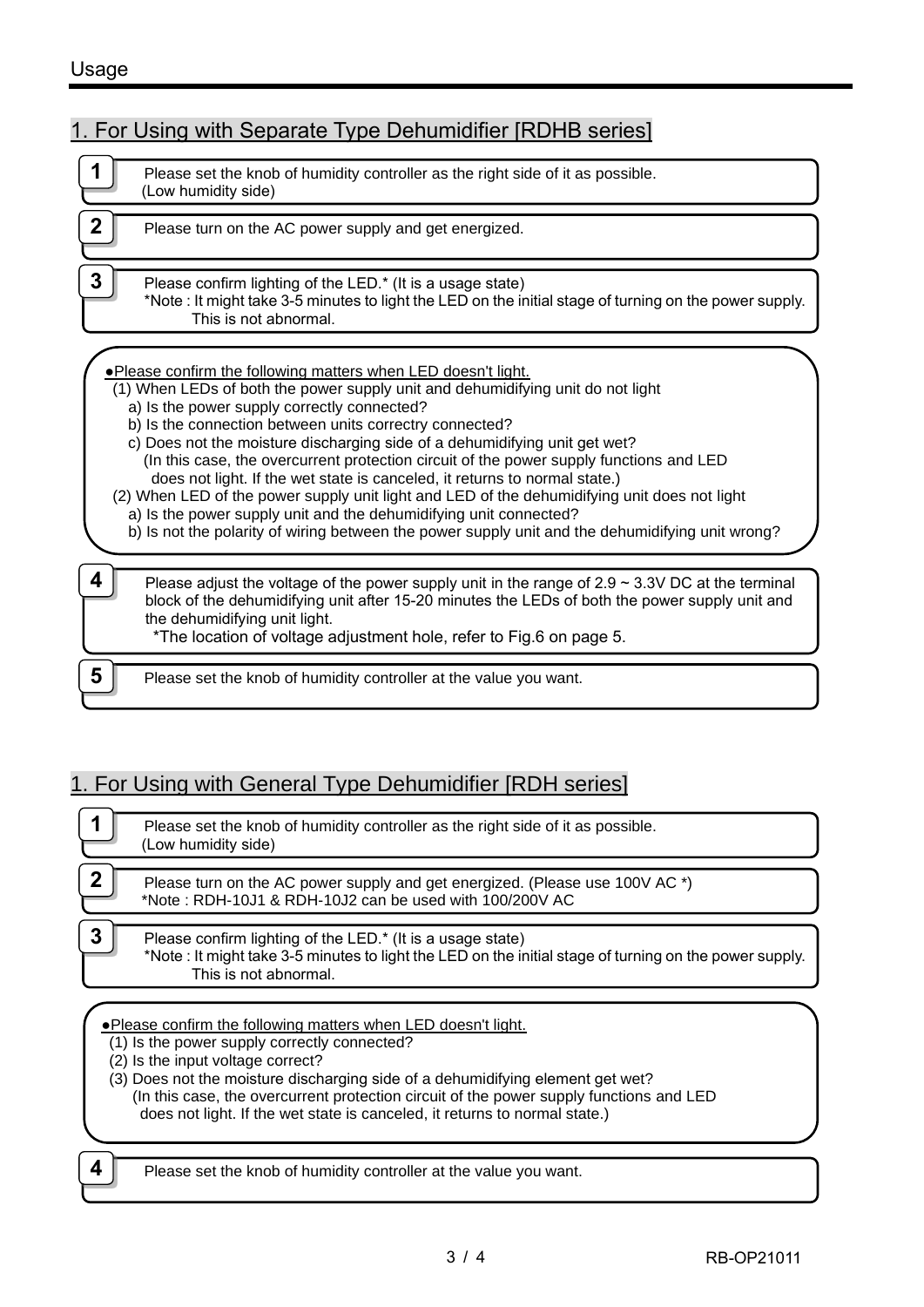#### Usage

1. For Using with Separate Type Dehumidifier [RDHB series]

|   | Please set the knob of humidity controller as the right side of it as possible.<br>(Low humidity side)                                                                                                                                                                                                                                                                                                                                                                                                                                                                                                                                                                                                                                                                                      |
|---|---------------------------------------------------------------------------------------------------------------------------------------------------------------------------------------------------------------------------------------------------------------------------------------------------------------------------------------------------------------------------------------------------------------------------------------------------------------------------------------------------------------------------------------------------------------------------------------------------------------------------------------------------------------------------------------------------------------------------------------------------------------------------------------------|
| 2 | Please turn on the AC power supply and get energized.                                                                                                                                                                                                                                                                                                                                                                                                                                                                                                                                                                                                                                                                                                                                       |
| 3 | Please confirm lighting of the LED.* (It is a usage state)<br>*Note : It might take 3-5 minutes to light the LED on the initial stage of turning on the power supply.<br>This is not abnormal.                                                                                                                                                                                                                                                                                                                                                                                                                                                                                                                                                                                              |
|   | • Please confirm the following matters when LED doesn't light.<br>(1) When LEDs of both the power supply unit and dehumidifying unit do not light<br>a) Is the power supply correctly connected?<br>b) Is the connection between units correctry connected?<br>c) Does not the moisture discharging side of a dehumidifying unit get wet?<br>(In this case, the overcurrent protection circuit of the power supply functions and LED<br>does not light. If the wet state is canceled, it returns to normal state.)<br>(2) When LED of the power supply unit light and LED of the dehumidifying unit does not light<br>a) Is the power supply unit and the dehumidifying unit connected?<br>b) Is not the polarity of wiring between the power supply unit and the dehumidifying unit wrong? |
| 4 | Please adjust the voltage of the power supply unit in the range of $2.9 \sim 3.3V$ DC at the terminal<br>block of the dehumidifying unit after 15-20 minutes the LEDs of both the power supply unit and<br>the dehumidifying unit light.<br>*The location of voltage adjustment hole, refer to Fig.6 on page 5.                                                                                                                                                                                                                                                                                                                                                                                                                                                                             |
| 5 | Please set the knob of humidity controller at the value you want.                                                                                                                                                                                                                                                                                                                                                                                                                                                                                                                                                                                                                                                                                                                           |

## 1. For Using with General Type Dehumidifier [RDH series]

|   | Please set the knob of humidity controller as the right side of it as possible.<br>(Low humidity side)                                                                                         |
|---|------------------------------------------------------------------------------------------------------------------------------------------------------------------------------------------------|
|   | Please turn on the AC power supply and get energized. (Please use 100V AC *)<br>*Note: RDH-10J1 & RDH-10J2 can be used with 100/200V AC                                                        |
| 3 | Please confirm lighting of the LED.* (It is a usage state)<br>*Note : It might take 3-5 minutes to light the LED on the initial stage of turning on the power supply.<br>This is not abnormal. |

**•Please confirm the following matters when LED doesn't light.** 

- (1) Is the power supply correctly connected?
- (2) Is the input voltage correct?

(3) Does not the moisture discharging side of a dehumidifying element get wet? (In this case, the overcurrent protection circuit of the power supply functions and LED does not light. If the wet state is canceled, it returns to normal state.)

- 
- **4** Please set the knob of humidity controller at the value you want.